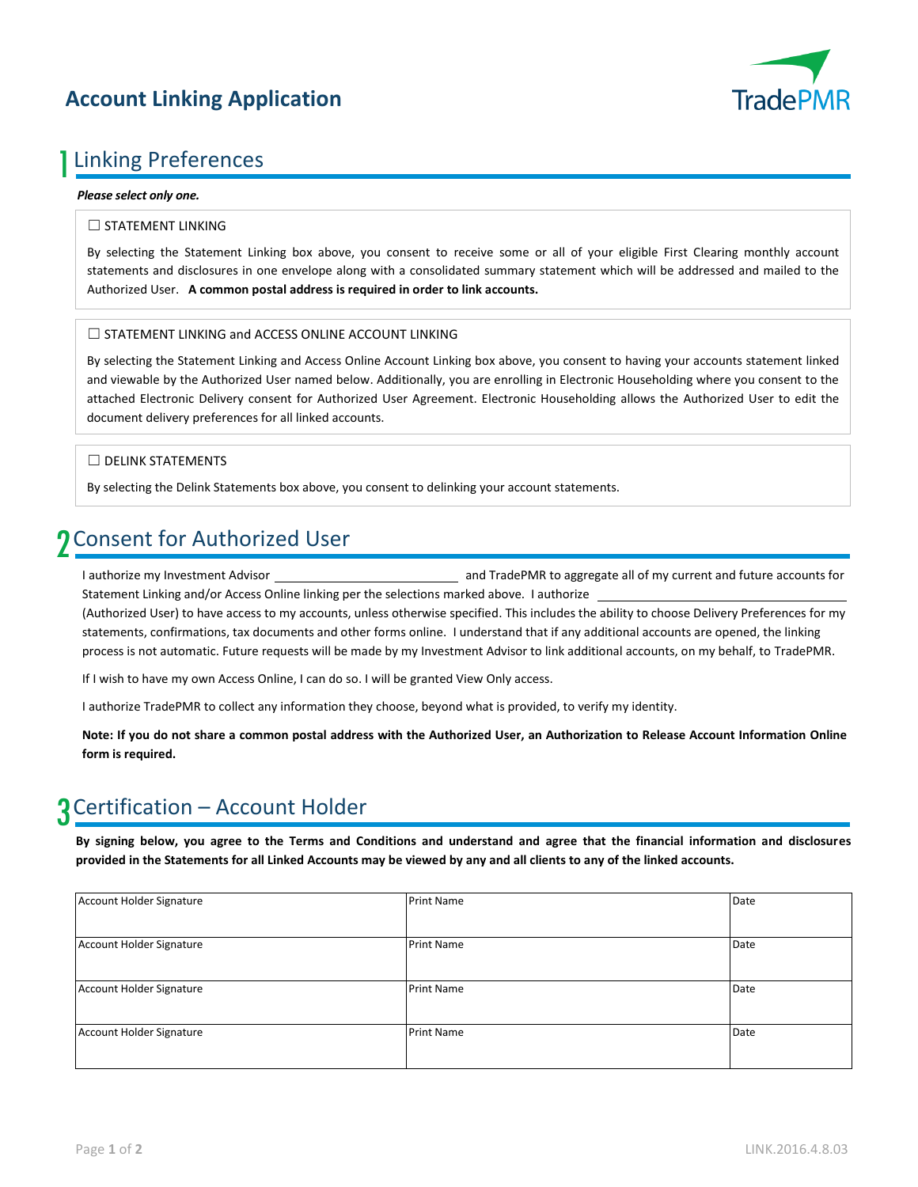## **Account Linking Application**



## 1 Linking Preferences

## *Please select only one.*

## ☐ STATEMENT LINKING

By selecting the Statement Linking box above, you consent to receive some or all of your eligible First Clearing monthly account statements and disclosures in one envelope along with a consolidated summary statement which will be addressed and mailed to the Authorized User. **A common postal address is required in order to link accounts.**

## □ STATEMENT LINKING and ACCESS ONLINE ACCOUNT LINKING

By selecting the Statement Linking and Access Online Account Linking box above, you consent to having your accounts statement linked and viewable by the Authorized User named below. Additionally, you are enrolling in Electronic Householding where you consent to the attached Electronic Delivery consent for Authorized User Agreement. Electronic Householding allows the Authorized User to edit the document delivery preferences for all linked accounts.

## ☐ DELINK STATEMENTS

By selecting the Delink Statements box above, you consent to delinking your account statements.

## 2 Consent for Authorized User

I authorize my Investment Advisor **and TradePMR** to aggregate all of my current and future accounts for Statement Linking and/or Access Online linking per the selections marked above. I authorize

(Authorized User) to have access to my accounts, unless otherwise specified. This includes the ability to choose Delivery Preferences for my statements, confirmations, tax documents and other forms online. I understand that if any additional accounts are opened, the linking process is not automatic. Future requests will be made by my Investment Advisor to link additional accounts, on my behalf, to TradePMR.

If I wish to have my own Access Online, I can do so. I will be granted View Only access.

I authorize TradePMR to collect any information they choose, beyond what is provided, to verify my identity.

**Note: If you do not share a common postal address with the Authorized User, an Authorization to Release Account Information Online form is required.** 

# 3 Certification – Account Holder

**By signing below, you agree to the Terms and Conditions and understand and agree that the financial information and disclosures provided in the Statements for all Linked Accounts may be viewed by any and all clients to any of the linked accounts.**

| Account Holder Signature | <b>Print Name</b> | Date |  |  |
|--------------------------|-------------------|------|--|--|
|                          |                   |      |  |  |
| Account Holder Signature | <b>Print Name</b> | Date |  |  |
|                          |                   |      |  |  |
| Account Holder Signature | <b>Print Name</b> | Date |  |  |
|                          |                   |      |  |  |
| Account Holder Signature | <b>Print Name</b> | Date |  |  |
|                          |                   |      |  |  |